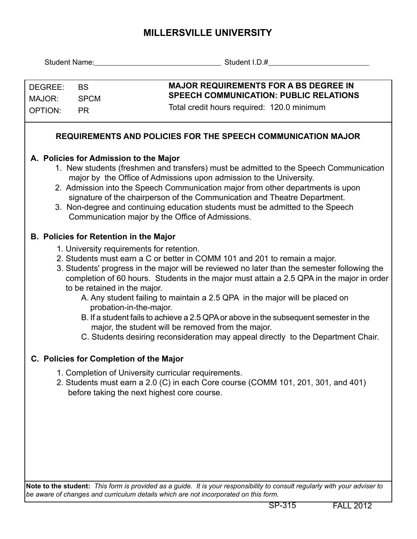## **MILLERSVILLE UNIVERSITY**

| DEGREE:                                                             | <b>BS</b>                                                                                                                                                                                                                                                                                                                                                                                                                                                                                                                                                                                                                                                                                          | <b>MAJOR REQUIREMENTS FOR A BS DEGREE IN</b>                                                                                                                                                                                                                                                                                                                                                                                                                                                                 |  |  |  |  |  |  |  |  |  |
|---------------------------------------------------------------------|----------------------------------------------------------------------------------------------------------------------------------------------------------------------------------------------------------------------------------------------------------------------------------------------------------------------------------------------------------------------------------------------------------------------------------------------------------------------------------------------------------------------------------------------------------------------------------------------------------------------------------------------------------------------------------------------------|--------------------------------------------------------------------------------------------------------------------------------------------------------------------------------------------------------------------------------------------------------------------------------------------------------------------------------------------------------------------------------------------------------------------------------------------------------------------------------------------------------------|--|--|--|--|--|--|--|--|--|
| MAJOR:<br><b>SPCM</b>                                               |                                                                                                                                                                                                                                                                                                                                                                                                                                                                                                                                                                                                                                                                                                    | <b>SPEECH COMMUNICATION: PUBLIC RELATIONS</b>                                                                                                                                                                                                                                                                                                                                                                                                                                                                |  |  |  |  |  |  |  |  |  |
| <b>OPTION:</b>                                                      | <b>PR</b>                                                                                                                                                                                                                                                                                                                                                                                                                                                                                                                                                                                                                                                                                          | Total credit hours required: 120.0 minimum                                                                                                                                                                                                                                                                                                                                                                                                                                                                   |  |  |  |  |  |  |  |  |  |
|                                                                     |                                                                                                                                                                                                                                                                                                                                                                                                                                                                                                                                                                                                                                                                                                    |                                                                                                                                                                                                                                                                                                                                                                                                                                                                                                              |  |  |  |  |  |  |  |  |  |
| <b>REQUIREMENTS AND POLICIES FOR THE SPEECH COMMUNICATION MAJOR</b> |                                                                                                                                                                                                                                                                                                                                                                                                                                                                                                                                                                                                                                                                                                    |                                                                                                                                                                                                                                                                                                                                                                                                                                                                                                              |  |  |  |  |  |  |  |  |  |
|                                                                     |                                                                                                                                                                                                                                                                                                                                                                                                                                                                                                                                                                                                                                                                                                    | A. Policies for Admission to the Major<br>1. New students (freshmen and transfers) must be admitted to the Speech Communication<br>major by the Office of Admissions upon admission to the University.<br>2. Admission into the Speech Communication major from other departments is upon<br>signature of the chairperson of the Communication and Theatre Department.<br>3. Non-degree and continuing education students must be admitted to the Speech<br>Communication major by the Office of Admissions. |  |  |  |  |  |  |  |  |  |
|                                                                     |                                                                                                                                                                                                                                                                                                                                                                                                                                                                                                                                                                                                                                                                                                    | <b>B. Policies for Retention in the Major</b>                                                                                                                                                                                                                                                                                                                                                                                                                                                                |  |  |  |  |  |  |  |  |  |
|                                                                     | 1. University requirements for retention.<br>2. Students must earn a C or better in COMM 101 and 201 to remain a major.<br>3. Students' progress in the major will be reviewed no later than the semester following the<br>completion of 60 hours. Students in the major must attain a 2.5 QPA in the major in order<br>to be retained in the major.<br>A. Any student failing to maintain a 2.5 QPA in the major will be placed on<br>probation-in-the-major.<br>B. If a student fails to achieve a 2.5 QPA or above in the subsequent semester in the<br>major, the student will be removed from the major.<br>C. Students desiring reconsideration may appeal directly to the Department Chair. |                                                                                                                                                                                                                                                                                                                                                                                                                                                                                                              |  |  |  |  |  |  |  |  |  |
|                                                                     |                                                                                                                                                                                                                                                                                                                                                                                                                                                                                                                                                                                                                                                                                                    | <b>Policies for Completion of the Major</b>                                                                                                                                                                                                                                                                                                                                                                                                                                                                  |  |  |  |  |  |  |  |  |  |
|                                                                     |                                                                                                                                                                                                                                                                                                                                                                                                                                                                                                                                                                                                                                                                                                    | 1. Completion of University curricular requirements.<br>2. Students must earn a 2.0 (C) in each Core course (COMM 101, 201, 301, and 401)<br>before taking the next highest core course.                                                                                                                                                                                                                                                                                                                     |  |  |  |  |  |  |  |  |  |
|                                                                     |                                                                                                                                                                                                                                                                                                                                                                                                                                                                                                                                                                                                                                                                                                    |                                                                                                                                                                                                                                                                                                                                                                                                                                                                                                              |  |  |  |  |  |  |  |  |  |

**Note to the student:** *This form is provided as a guide. It is your responsibility to consult regularly with your adviser to be aware of changes and curriculum details which are not incorporated on this form.*